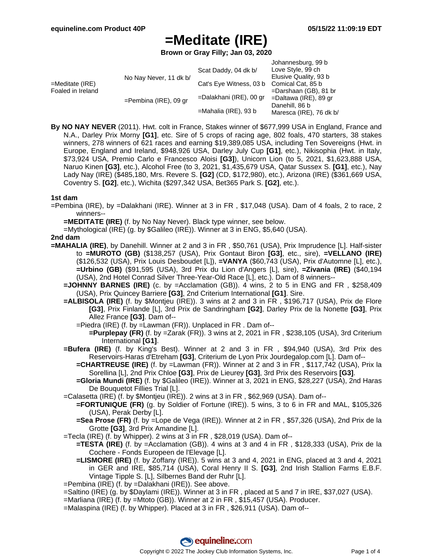**Brown or Gray Filly; Jan 03, 2020**

|                                         |                          |                         | Johannesburg, 99 b       |
|-----------------------------------------|--------------------------|-------------------------|--------------------------|
|                                         |                          | Scat Daddy, 04 dk b/    | Love Style, 99 ch        |
| $=$ Meditate (IRE)<br>Foaled in Ireland | No Nay Never, 11 dk b/   |                         | Elusive Quality, 93 b    |
|                                         |                          | Cat's Eye Witness, 03 b | Comical Cat, 85 b        |
|                                         |                          |                         | $=$ Darshaan (GB), 81 br |
|                                         | $=$ Pembina (IRE), 09 gr | =Dalakhani (IRE), 00 gr | $=$ Daltawa (IRE), 89 gr |
|                                         |                          |                         | Danehill, 86 b           |
|                                         |                          | =Mahalia (IRE), 93 b    | Maresca (IRE), 76 dk b/  |

**By NO NAY NEVER** (2011). Hwt. colt in France, Stakes winner of \$677,999 USA in England, France and N.A., Darley Prix Morny **[G1]**, etc. Sire of 5 crops of racing age, 802 foals, 470 starters, 38 stakes winners, 278 winners of 621 races and earning \$19,389,085 USA, including Ten Sovereigns (Hwt. in Europe, England and Ireland, \$948,926 USA, Darley July Cup **[G1]**, etc.), Nikisophia (Hwt. in Italy, \$73,924 USA, Premio Carlo e Francesco Aloisi **[G3]**), Unicorn Lion (to 5, 2021, \$1,623,888 USA, Naruo Kinen **[G3]**, etc.), Alcohol Free (to 3, 2021, \$1,435,679 USA, Qatar Sussex S. **[G1]**, etc.), Nay Lady Nay (IRE) (\$485,180, Mrs. Revere S. **[G2]** (CD, \$172,980), etc.), Arizona (IRE) (\$361,669 USA, Coventry S. **[G2]**, etc.), Wichita (\$297,342 USA, Bet365 Park S. **[G2]**, etc.).

#### **1st dam**

=Pembina (IRE), by =Dalakhani (IRE). Winner at 3 in FR , \$17,048 (USA). Dam of 4 foals, 2 to race, 2 winners--

**=MEDITATE (IRE)** (f. by No Nay Never). Black type winner, see below.

=Mythological (IRE) (g. by \$Galileo (IRE)). Winner at 3 in ENG, \$5,640 (USA).

#### **2nd dam**

- **=MAHALIA (IRE)**, by Danehill. Winner at 2 and 3 in FR , \$50,761 (USA), Prix Imprudence [L]. Half-sister to **=MUROTO (GB)** (\$138,257 (USA), Prix Gontaut Biron **[G3]**, etc., sire), **=VELLANO (IRE)** (\$126,532 (USA), Prix Louis Desboudet [L]), **=VANYA** (\$60,743 (USA), Prix d'Automne [L], etc.), **=Urbino (GB)** (\$91,595 (USA), 3rd Prix du Lion d'Angers [L], sire), **=Zivania (IRE)** (\$40,194 (USA), 2nd Hotel Conrad Silver Three-Year-Old Race [L], etc.). Dam of 8 winners--
	- **=JOHNNY BARNES (IRE)** (c. by =Acclamation (GB)). 4 wins, 2 to 5 in ENG and FR , \$258,409 (USA), Prix Quincey Barriere **[G3]**, 2nd Criterium International **[G1]**. Sire.
	- **=ALBISOLA (IRE)** (f. by \$Montjeu (IRE)). 3 wins at 2 and 3 in FR , \$196,717 (USA), Prix de Flore **[G3]**, Prix Finlande [L], 3rd Prix de Sandringham **[G2]**, Darley Prix de la Nonette **[G3]**, Prix Allez France **[G3]**. Dam of--
		- =Piedra (IRE) (f. by =Lawman (FR)). Unplaced in FR . Dam of--
			- **=Purplepay (FR)** (f. by =Zarak (FR)). 3 wins at 2, 2021 in FR , \$238,105 (USA), 3rd Criterium International **[G1]**.
	- **=Bufera (IRE)** (f. by King's Best). Winner at 2 and 3 in FR , \$94,940 (USA), 3rd Prix des Reservoirs-Haras d'Etreham **[G3]**, Criterium de Lyon Prix Jourdegalop.com [L]. Dam of--
		- **=CHARTREUSE (IRE)** (f. by =Lawman (FR)). Winner at 2 and 3 in FR , \$117,742 (USA), Prix la Sorellina [L], 2nd Prix Chloe **[G3]**, Prix de Lieurey **[G3]**, 3rd Prix des Reservoirs **[G3]**.
		- **=Gloria Mundi (IRE)** (f. by \$Galileo (IRE)). Winner at 3, 2021 in ENG, \$28,227 (USA), 2nd Haras De Bouquetot Fillies Trial [L].
	- =Calasetta (IRE) (f. by \$Montjeu (IRE)). 2 wins at 3 in FR , \$62,969 (USA). Dam of--
		- **=FORTUNIQUE (FR)** (g. by Soldier of Fortune (IRE)). 5 wins, 3 to 6 in FR and MAL, \$105,326 (USA), Perak Derby [L].
		- **=Sea Prose (FR)** (f. by =Lope de Vega (IRE)). Winner at 2 in FR , \$57,326 (USA), 2nd Prix de la Grotte **[G3]**, 3rd Prix Amandine [L].
	- =Tecla (IRE) (f. by Whipper). 2 wins at 3 in FR , \$28,019 (USA). Dam of--
		- **=TESTA (IRE)** (f. by =Acclamation (GB)). 4 wins at 3 and 4 in FR , \$128,333 (USA), Prix de la Cochere - Fonds Europeen de l'Elevage [L].
		- **=LISMORE (IRE)** (f. by Zoffany (IRE)). 5 wins at 3 and 4, 2021 in ENG, placed at 3 and 4, 2021 in GER and IRE, \$85,714 (USA), Coral Henry II S. **[G3]**, 2nd Irish Stallion Farms E.B.F. Vintage Tipple S. [L], Silbernes Band der Ruhr [L].
	- =Pembina (IRE) (f. by =Dalakhani (IRE)). See above.
	- =Saltino (IRE) (g. by \$Daylami (IRE)). Winner at 3 in FR , placed at 5 and 7 in IRE, \$37,027 (USA).
	- =Marliana (IRE) (f. by =Mtoto (GB)). Winner at 2 in FR , \$15,457 (USA). Producer.
	- =Malaspina (IRE) (f. by Whipper). Placed at 3 in FR , \$26,911 (USA). Dam of--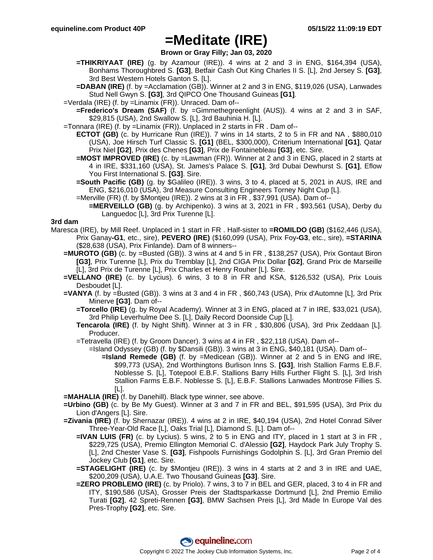**Brown or Gray Filly; Jan 03, 2020**

- **=THIKRIYAAT (IRE)** (g. by Azamour (IRE)). 4 wins at 2 and 3 in ENG, \$164,394 (USA), Bonhams Thoroughbred S. **[G3]**, Betfair Cash Out King Charles II S. [L], 2nd Jersey S. **[G3]**, 3rd Best Western Hotels Ganton S. [L].
- **=DABAN (IRE)** (f. by =Acclamation (GB)). Winner at 2 and 3 in ENG, \$119,026 (USA), Lanwades Stud Nell Gwyn S. **[G3]**, 3rd QIPCO One Thousand Guineas **[G1]**.
- =Verdala (IRE) (f. by =Linamix (FR)). Unraced. Dam of--
	- **=Frederico's Dream (SAF)** (f. by =Gimmethegreenlight (AUS)). 4 wins at 2 and 3 in SAF, \$29,815 (USA), 2nd Swallow S. [L], 3rd Bauhinia H. [L].
- =Tonnara (IRE) (f. by =Linamix (FR)). Unplaced in 2 starts in FR . Dam of--
	- **ECTOT (GB)** (c. by Hurricane Run (IRE)). 7 wins in 14 starts, 2 to 5 in FR and NA , \$880,010 (USA), Joe Hirsch Turf Classic S. **[G1]** (BEL, \$300,000), Criterium International **[G1]**, Qatar Prix Niel **[G2]**, Prix des Chenes **[G3]**, Prix de Fontainebleau **[G3]**, etc. Sire.
	- **=MOST IMPROVED (IRE)** (c. by =Lawman (FR)). Winner at 2 and 3 in ENG, placed in 2 starts at 4 in IRE, \$331,160 (USA), St. James's Palace S. **[G1]**, 3rd Dubai Dewhurst S. **[G1]**, Eflow You First International S. **[G3]**. Sire.
	- **=South Pacific (GB)** (g. by \$Galileo (IRE)). 3 wins, 3 to 4, placed at 5, 2021 in AUS, IRE and ENG, \$216,010 (USA), 3rd Measure Consulting Engineers Torney Night Cup [L].
	- =Merville (FR) (f. by \$Montjeu (IRE)). 2 wins at 3 in FR , \$37,991 (USA). Dam of--
		- **=MERVEILLO (GB)** (g. by Archipenko). 3 wins at 3, 2021 in FR , \$93,561 (USA), Derby du Languedoc [L], 3rd Prix Turenne [L].

### **3rd dam**

- Maresca (IRE), by Mill Reef. Unplaced in 1 start in FR . Half-sister to **=ROMILDO (GB)** (\$162,446 (USA), Prix Ganay**-G1**, etc., sire), **PEVERO (IRE)** (\$160,099 (USA), Prix Foy**-G3**, etc., sire), **=STARINA** (\$28,638 (USA), Prix Finlande). Dam of 8 winners--
	- **=MUROTO (GB)** (c. by =Busted (GB)). 3 wins at 4 and 5 in FR , \$138,257 (USA), Prix Gontaut Biron **[G3]**, Prix Turenne [L], Prix du Tremblay [L], 2nd CIGA Prix Dollar **[G2]**, Grand Prix de Marseille [L], 3rd Prix de Turenne [L], Prix Charles et Henry Rouher [L]. Sire.
	- **=VELLANO (IRE)** (c. by Lycius). 6 wins, 3 to 8 in FR and KSA, \$126,532 (USA), Prix Louis Desboudet [L].
	- **=VANYA** (f. by =Busted (GB)). 3 wins at 3 and 4 in FR , \$60,743 (USA), Prix d'Automne [L], 3rd Prix Minerve **[G3]**. Dam of--
		- **=Torcello (IRE)** (g. by Royal Academy). Winner at 3 in ENG, placed at 7 in IRE, \$33,021 (USA), 3rd Philip Leverhulme Dee S. [L], Daily Record Doonside Cup [L].
		- **Tencarola (IRE)** (f. by Night Shift). Winner at 3 in FR , \$30,806 (USA), 3rd Prix Zeddaan [L]. Producer.
		- =Tetravella (IRE) (f. by Groom Dancer). 3 wins at 4 in FR , \$22,118 (USA). Dam of--
			- =Island Odyssey (GB) (f. by \$Dansili (GB)). 3 wins at 3 in ENG, \$40,181 (USA). Dam of--
				- **=Island Remede (GB)** (f. by =Medicean (GB)). Winner at 2 and 5 in ENG and IRE, \$99,773 (USA), 2nd Worthingtons Burlison Inns S. **[G3]**, Irish Stallion Farms E.B.F. Noblesse S. [L], Totepool E.B.F. Stallions Barry Hills Further Flight S. [L], 3rd Irish Stallion Farms E.B.F. Noblesse S. [L], E.B.F. Stallions Lanwades Montrose Fillies S. [L].
	- **=MAHALIA (IRE)** (f. by Danehill). Black type winner, see above.
	- **=Urbino (GB)** (c. by Be My Guest). Winner at 3 and 7 in FR and BEL, \$91,595 (USA), 3rd Prix du Lion d'Angers [L]. Sire.
	- **=Zivania (IRE)** (f. by Shernazar (IRE)). 4 wins at 2 in IRE, \$40,194 (USA), 2nd Hotel Conrad Silver Three-Year-Old Race [L], Oaks Trial [L], Diamond S. [L]. Dam of--
		- **=IVAN LUIS (FR)** (c. by Lycius). 5 wins, 2 to 5 in ENG and ITY, placed in 1 start at 3 in FR , \$229,725 (USA), Premio Ellington Memorial C. d'Alessio **[G2]**, Haydock Park July Trophy S. [L], 2nd Chester Vase S. **[G3]**, Fishpools Furnishings Godolphin S. [L], 3rd Gran Premio del Jockey Club **[G1]**, etc. Sire.
		- **=STAGELIGHT (IRE)** (c. by \$Montjeu (IRE)). 3 wins in 4 starts at 2 and 3 in IRE and UAE, \$200,209 (USA), U.A.E. Two Thousand Guineas **[G3]**. Sire.
		- **=ZERO PROBLEMO (IRE)** (c. by Priolo). 7 wins, 3 to 7 in BEL and GER, placed, 3 to 4 in FR and ITY, \$190,586 (USA), Grosser Preis der Stadtsparkasse Dortmund [L], 2nd Premio Emilio Turati **[G2]**, 42 Spreti-Rennen **[G3]**, BMW Sachsen Preis [L], 3rd Made In Europe Val des Pres-Trophy **[G2]**, etc. Sire.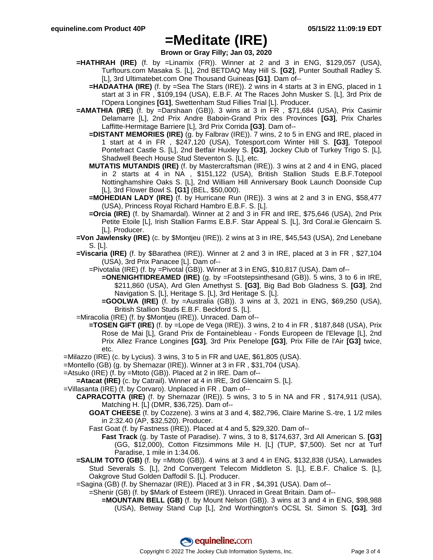**Brown or Gray Filly; Jan 03, 2020**

- **=HATHRAH (IRE)** (f. by =Linamix (FR)). Winner at 2 and 3 in ENG, \$129,057 (USA), Turftours.com Masaka S. [L], 2nd BETDAQ May Hill S. **[G2]**, Punter Southall Radley S. [L], 3rd Ultimatebet.com One Thousand Guineas **[G1]**. Dam of--
	- **=HADAATHA (IRE)** (f. by =Sea The Stars (IRE)). 2 wins in 4 starts at 3 in ENG, placed in 1 start at 3 in FR , \$109,194 (USA), E.B.F. At The Races John Musker S. [L], 3rd Prix de l'Opera Longines **[G1]**, Swettenham Stud Fillies Trial [L]. Producer.
- **=AMATHIA (IRE)** (f. by =Darshaan (GB)). 3 wins at 3 in FR , \$71,684 (USA), Prix Casimir Delamarre [L], 2nd Prix Andre Baboin-Grand Prix des Provinces **[G3]**, Prix Charles Laffitte-Hermitage Barriere [L], 3rd Prix Corrida **[G3]**. Dam of--
	- **=DISTANT MEMORIES (IRE)** (g. by Falbrav (IRE)). 7 wins, 2 to 5 in ENG and IRE, placed in 1 start at 4 in FR , \$247,120 (USA), Totesport.com Winter Hill S. **[G3]**, Totepool Pontefract Castle S. [L], 2nd Betfair Huxley S. **[G3]**, Jockey Club of Turkey Trigo S. [L], Shadwell Beech House Stud Steventon S. [L], etc.
	- **MUTATIS MUTANDIS (IRE)** (f. by Mastercraftsman (IRE)). 3 wins at 2 and 4 in ENG, placed in 2 starts at 4 in NA , \$151,122 (USA), British Stallion Studs E.B.F.Totepool Nottinghamshire Oaks S. [L], 2nd William Hill Anniversary Book Launch Doonside Cup [L], 3rd Flower Bowl S. **[G1]** (BEL, \$50,000).
	- **=MOHEDIAN LADY (IRE)** (f. by Hurricane Run (IRE)). 3 wins at 2 and 3 in ENG, \$58,477 (USA), Princess Royal Richard Hambro E.B.F. S. [L].
	- **=Orcia (IRE)** (f. by Shamardal). Winner at 2 and 3 in FR and IRE, \$75,646 (USA), 2nd Prix Petite Etoile [L], Irish Stallion Farms E.B.F. Star Appeal S. [L], 3rd Coral.ie Glencairn S. [L]. Producer.
- **=Von Jawlensky (IRE)** (c. by \$Montjeu (IRE)). 2 wins at 3 in IRE, \$45,543 (USA), 2nd Lenebane S. [L].
- **=Viscaria (IRE)** (f. by \$Barathea (IRE)). Winner at 2 and 3 in IRE, placed at 3 in FR , \$27,104 (USA), 3rd Prix Panacee [L]. Dam of--
	- =Pivotalia (IRE) (f. by =Pivotal (GB)). Winner at 3 in ENG, \$10,817 (USA). Dam of--
		- **=ONENIGHTIDREAMED (IRE)** (g. by =Footstepsinthesand (GB)). 5 wins, 3 to 6 in IRE, \$211,860 (USA), Ard Glen Amethyst S. **[G3]**, Big Bad Bob Gladness S. **[G3]**, 2nd Navigation S. [L], Heritage S. [L], 3rd Heritage S. [L].
		- **=GOOLWA (IRE)** (f. by =Australia (GB)). 3 wins at 3, 2021 in ENG, \$69,250 (USA), British Stallion Studs E.B.F. Beckford S. [L].
- =Miracolia (IRE) (f. by \$Montjeu (IRE)). Unraced. Dam of--
	- **=TOSEN GIFT (IRE)** (f. by =Lope de Vega (IRE)). 3 wins, 2 to 4 in FR , \$187,848 (USA), Prix Rose de Mai [L], Grand Prix de Fontainebleau - Fonds Europeen de l'Elevage [L], 2nd Prix Allez France Longines **[G3]**, 3rd Prix Penelope **[G3]**, Prix Fille de l'Air **[G3]** twice, etc.
- =Milazzo (IRE) (c. by Lycius). 3 wins, 3 to 5 in FR and UAE, \$61,805 (USA).
- =Montello (GB) (g. by Shernazar (IRE)). Winner at 3 in FR , \$31,704 (USA).
- =Atsuko (IRE) (f. by =Mtoto (GB)). Placed at 2 in IRE. Dam of--
- **=Atacat (IRE)** (c. by Catrail). Winner at 4 in IRE, 3rd Glencairn S. [L].
- =Villasanta (IRE) (f. by Corvaro). Unplaced in FR . Dam of--
	- **CAPRACOTTA (IRE)** (f. by Shernazar (IRE)). 5 wins, 3 to 5 in NA and FR , \$174,911 (USA), Matching H. [L] (DMR, \$36,725). Dam of--
		- **GOAT CHEESE** (f. by Cozzene). 3 wins at 3 and 4, \$82,796, Claire Marine S.-tre, 1 1/2 miles in 2:32.40 (AP, \$32,520). Producer.
		- Fast Goat (f. by Fastness (IRE)). Placed at 4 and 5, \$29,320. Dam of--
			- **Fast Track** (g. by Taste of Paradise). 7 wins, 3 to 8, \$174,637, 3rd All American S. **[G3]** (GG, \$12,000), Cotton Fitzsimmons Mile H. [L] (TUP, \$7,500). Set ncr at Turf Paradise, 1 mile in 1:34.06.
	- **=SALIM TOTO (GB)** (f. by =Mtoto (GB)). 4 wins at 3 and 4 in ENG, \$132,838 (USA), Lanwades Stud Severals S. [L], 2nd Convergent Telecom Middleton S. [L], E.B.F. Chalice S. [L], Oakgrove Stud Golden Daffodil S. [L]. Producer.
	- =Sagina (GB) (f. by Shernazar (IRE)). Placed at 3 in FR , \$4,391 (USA). Dam of--
		- =Shenir (GB) (f. by \$Mark of Esteem (IRE)). Unraced in Great Britain. Dam of--
			- **=MOUNTAIN BELL (GB)** (f. by Mount Nelson (GB)). 3 wins at 3 and 4 in ENG, \$98,988 (USA), Betway Stand Cup [L], 2nd Worthington's OCSL St. Simon S. **[G3]**, 3rd